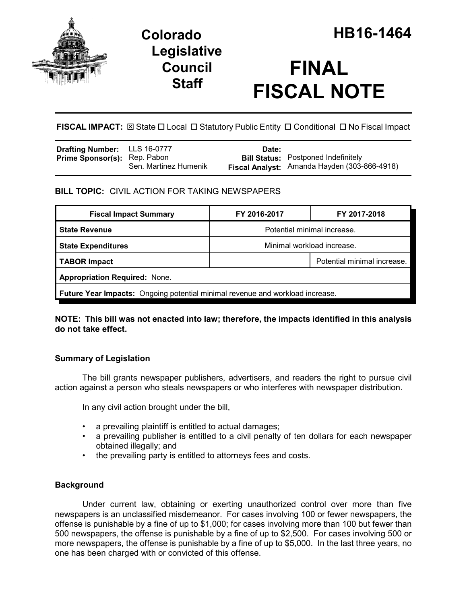

## **Legislative Council Staff**

# **FINAL FISCAL NOTE**

**FISCAL IMPACT:**  $\boxtimes$  State  $\Box$  Local  $\Box$  Statutory Public Entity  $\Box$  Conditional  $\Box$  No Fiscal Impact

| <b>Drafting Number:</b> LLS 16-0777 |                       | Date: |                                              |
|-------------------------------------|-----------------------|-------|----------------------------------------------|
| <b>Prime Sponsor(s):</b> Rep. Pabon |                       |       | <b>Bill Status:</b> Postponed Indefinitely   |
|                                     | Sen. Martinez Humenik |       | Fiscal Analyst: Amanda Hayden (303-866-4918) |

## **BILL TOPIC:** CIVIL ACTION FOR TAKING NEWSPAPERS

| <b>Fiscal Impact Summary</b>                                                         | FY 2016-2017                | FY 2017-2018                |  |  |  |
|--------------------------------------------------------------------------------------|-----------------------------|-----------------------------|--|--|--|
| <b>State Revenue</b>                                                                 | Potential minimal increase. |                             |  |  |  |
| <b>State Expenditures</b>                                                            | Minimal workload increase.  |                             |  |  |  |
| TABOR Impact                                                                         |                             | Potential minimal increase. |  |  |  |
| <b>Appropriation Required: None.</b>                                                 |                             |                             |  |  |  |
| <b>Future Year Impacts:</b> Ongoing potential minimal revenue and workload increase. |                             |                             |  |  |  |

**NOTE: This bill was not enacted into law; therefore, the impacts identified in this analysis do not take effect.**

## **Summary of Legislation**

The bill grants newspaper publishers, advertisers, and readers the right to pursue civil action against a person who steals newspapers or who interferes with newspaper distribution.

In any civil action brought under the bill,

- a prevailing plaintiff is entitled to actual damages;
- a prevailing publisher is entitled to a civil penalty of ten dollars for each newspaper obtained illegally; and
- the prevailing party is entitled to attorneys fees and costs.

## **Background**

Under current law, obtaining or exerting unauthorized control over more than five newspapers is an unclassified misdemeanor. For cases involving 100 or fewer newspapers, the offense is punishable by a fine of up to \$1,000; for cases involving more than 100 but fewer than 500 newspapers, the offense is punishable by a fine of up to \$2,500. For cases involving 500 or more newspapers, the offense is punishable by a fine of up to \$5,000. In the last three years, no one has been charged with or convicted of this offense.